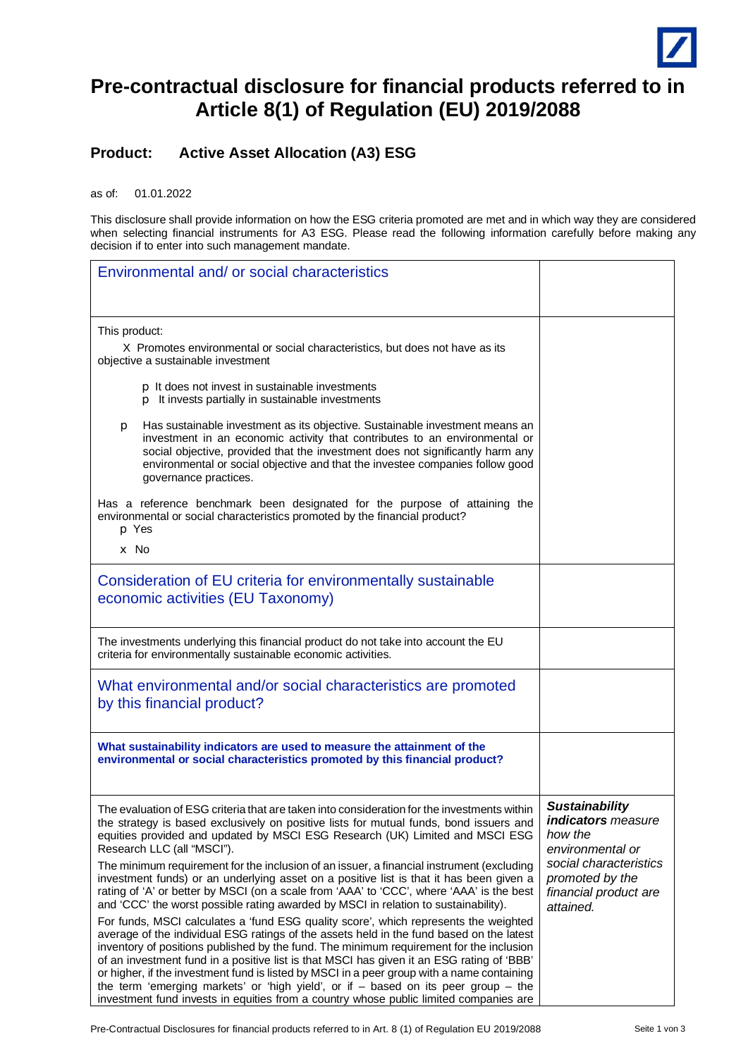

## **Pre-contractual disclosure for financial products referred to in Article 8(1) of Regulation (EU) 2019/2088**

## **Product: Active Asset Allocation (A3) ESG**

as of: 01.01.2022

This disclosure shall provide information on how the ESG criteria promoted are met and in which way they are considered when selecting financial instruments for A3 ESG. Please read the following information carefully before making any decision if to enter into such management mandate.

| Environmental and/ or social characteristics                                                                                                                                                                                                                                                                                                                                                                                                                                                                                                                                                                                                              |                                                                                   |
|-----------------------------------------------------------------------------------------------------------------------------------------------------------------------------------------------------------------------------------------------------------------------------------------------------------------------------------------------------------------------------------------------------------------------------------------------------------------------------------------------------------------------------------------------------------------------------------------------------------------------------------------------------------|-----------------------------------------------------------------------------------|
| This product:                                                                                                                                                                                                                                                                                                                                                                                                                                                                                                                                                                                                                                             |                                                                                   |
| X Promotes environmental or social characteristics, but does not have as its<br>objective a sustainable investment                                                                                                                                                                                                                                                                                                                                                                                                                                                                                                                                        |                                                                                   |
| p It does not invest in sustainable investments<br>p It invests partially in sustainable investments                                                                                                                                                                                                                                                                                                                                                                                                                                                                                                                                                      |                                                                                   |
| Has sustainable investment as its objective. Sustainable investment means an<br>р<br>investment in an economic activity that contributes to an environmental or<br>social objective, provided that the investment does not significantly harm any<br>environmental or social objective and that the investee companies follow good<br>governance practices.                                                                                                                                                                                                                                                                                               |                                                                                   |
| Has a reference benchmark been designated for the purpose of attaining the<br>environmental or social characteristics promoted by the financial product?<br>p Yes                                                                                                                                                                                                                                                                                                                                                                                                                                                                                         |                                                                                   |
| $\times$ No                                                                                                                                                                                                                                                                                                                                                                                                                                                                                                                                                                                                                                               |                                                                                   |
| Consideration of EU criteria for environmentally sustainable<br>economic activities (EU Taxonomy)                                                                                                                                                                                                                                                                                                                                                                                                                                                                                                                                                         |                                                                                   |
| The investments underlying this financial product do not take into account the EU<br>criteria for environmentally sustainable economic activities.                                                                                                                                                                                                                                                                                                                                                                                                                                                                                                        |                                                                                   |
| What environmental and/or social characteristics are promoted<br>by this financial product?                                                                                                                                                                                                                                                                                                                                                                                                                                                                                                                                                               |                                                                                   |
| What sustainability indicators are used to measure the attainment of the<br>environmental or social characteristics promoted by this financial product?                                                                                                                                                                                                                                                                                                                                                                                                                                                                                                   |                                                                                   |
| The evaluation of ESG criteria that are taken into consideration for the investments within<br>the strategy is based exclusively on positive lists for mutual funds, bond issuers and<br>equities provided and updated by MSCI ESG Research (UK) Limited and MSCI ESG<br>Research LLC (all "MSCI").                                                                                                                                                                                                                                                                                                                                                       | <b>Sustainability</b><br><b>indicators</b> measure<br>how the<br>environmental or |
| The minimum requirement for the inclusion of an issuer, a financial instrument (excluding<br>investment funds) or an underlying asset on a positive list is that it has been given a<br>rating of 'A' or better by MSCI (on a scale from 'AAA' to 'CCC', where 'AAA' is the best<br>and 'CCC' the worst possible rating awarded by MSCI in relation to sustainability).                                                                                                                                                                                                                                                                                   | social characteristics<br>promoted by the<br>financial product are<br>attained.   |
| For funds, MSCI calculates a 'fund ESG quality score', which represents the weighted<br>average of the individual ESG ratings of the assets held in the fund based on the latest<br>inventory of positions published by the fund. The minimum requirement for the inclusion<br>of an investment fund in a positive list is that MSCI has given it an ESG rating of 'BBB'<br>or higher, if the investment fund is listed by MSCI in a peer group with a name containing<br>the term 'emerging markets' or 'high yield', or if $-$ based on its peer group $-$ the<br>investment fund invests in equities from a country whose public limited companies are |                                                                                   |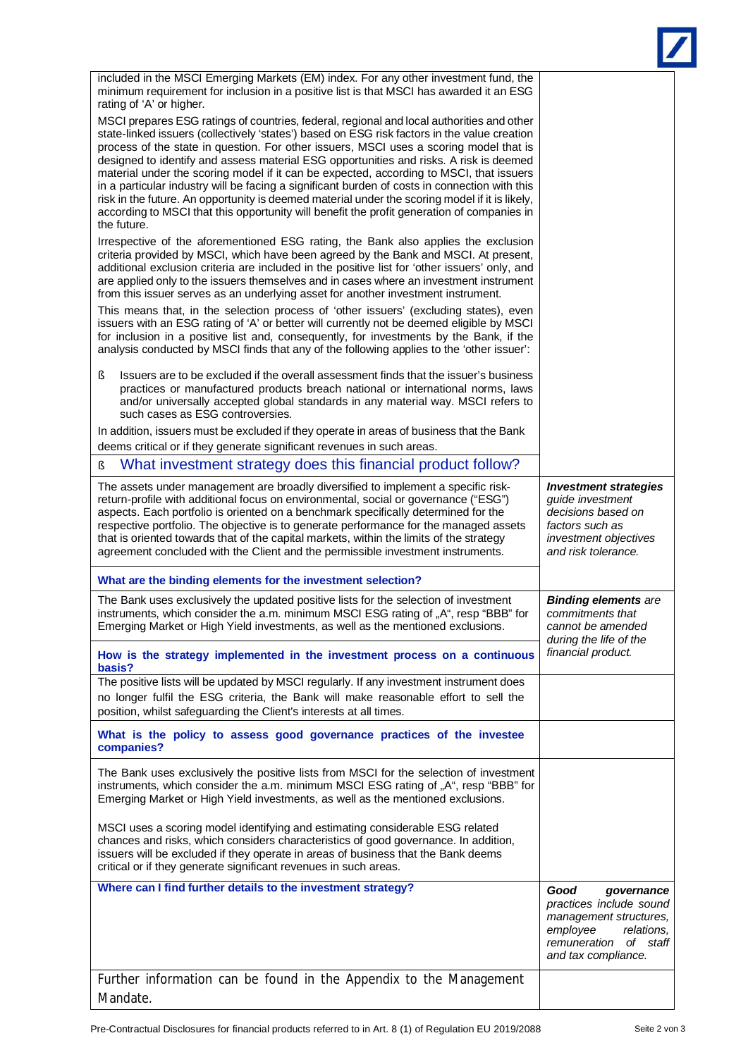| included in the MSCI Emerging Markets (EM) index. For any other investment fund, the<br>minimum requirement for inclusion in a positive list is that MSCI has awarded it an ESG                                                                                                                                                                                                                                                                                                                                                       |                                                                                                                                                      |
|---------------------------------------------------------------------------------------------------------------------------------------------------------------------------------------------------------------------------------------------------------------------------------------------------------------------------------------------------------------------------------------------------------------------------------------------------------------------------------------------------------------------------------------|------------------------------------------------------------------------------------------------------------------------------------------------------|
| rating of 'A' or higher.<br>MSCI prepares ESG ratings of countries, federal, regional and local authorities and other<br>state-linked issuers (collectively 'states') based on ESG risk factors in the value creation<br>process of the state in question. For other issuers, MSCI uses a scoring model that is                                                                                                                                                                                                                       |                                                                                                                                                      |
| designed to identify and assess material ESG opportunities and risks. A risk is deemed<br>material under the scoring model if it can be expected, according to MSCI, that issuers<br>in a particular industry will be facing a significant burden of costs in connection with this<br>risk in the future. An opportunity is deemed material under the scoring model if it is likely,<br>according to MSCI that this opportunity will benefit the profit generation of companies in<br>the future.                                     |                                                                                                                                                      |
| Irrespective of the aforementioned ESG rating, the Bank also applies the exclusion<br>criteria provided by MSCI, which have been agreed by the Bank and MSCI. At present,<br>additional exclusion criteria are included in the positive list for 'other issuers' only, and<br>are applied only to the issuers themselves and in cases where an investment instrument<br>from this issuer serves as an underlying asset for another investment instrument.                                                                             |                                                                                                                                                      |
| This means that, in the selection process of 'other issuers' (excluding states), even<br>issuers with an ESG rating of 'A' or better will currently not be deemed eligible by MSCI<br>for inclusion in a positive list and, consequently, for investments by the Bank, if the<br>analysis conducted by MSCI finds that any of the following applies to the 'other issuer':                                                                                                                                                            |                                                                                                                                                      |
| ş<br>Issuers are to be excluded if the overall assessment finds that the issuer's business<br>practices or manufactured products breach national or international norms, laws<br>and/or universally accepted global standards in any material way. MSCI refers to<br>such cases as ESG controversies.                                                                                                                                                                                                                                 |                                                                                                                                                      |
| In addition, issuers must be excluded if they operate in areas of business that the Bank<br>deems critical or if they generate significant revenues in such areas.                                                                                                                                                                                                                                                                                                                                                                    |                                                                                                                                                      |
| What investment strategy does this financial product follow?<br>ş                                                                                                                                                                                                                                                                                                                                                                                                                                                                     |                                                                                                                                                      |
| The assets under management are broadly diversified to implement a specific risk-<br>return-profile with additional focus on environmental, social or governance ("ESG")<br>aspects. Each portfolio is oriented on a benchmark specifically determined for the<br>respective portfolio. The objective is to generate performance for the managed assets<br>that is oriented towards that of the capital markets, within the limits of the strategy<br>agreement concluded with the Client and the permissible investment instruments. | <b>Investment strategies</b><br>guide investment<br>decisions based on<br>factors such as<br>investment objectives<br>and risk tolerance.            |
| What are the binding elements for the investment selection?                                                                                                                                                                                                                                                                                                                                                                                                                                                                           |                                                                                                                                                      |
| The Bank uses exclusively the updated positive lists for the selection of investment<br>instruments, which consider the a.m. minimum MSCI ESG rating of "A", resp "BBB" for<br>Emerging Market or High Yield investments, as well as the mentioned exclusions.                                                                                                                                                                                                                                                                        | <b>Binding elements are</b><br>commitments that<br>cannot be amended<br>during the life of the<br>financial product.                                 |
| How is the strategy implemented in the investment process on a continuous<br>basis?                                                                                                                                                                                                                                                                                                                                                                                                                                                   |                                                                                                                                                      |
| The positive lists will be updated by MSCI regularly. If any investment instrument does<br>no longer fulfil the ESG criteria, the Bank will make reasonable effort to sell the<br>position, whilst safeguarding the Client's interests at all times.                                                                                                                                                                                                                                                                                  |                                                                                                                                                      |
| What is the policy to assess good governance practices of the investee<br>companies?                                                                                                                                                                                                                                                                                                                                                                                                                                                  |                                                                                                                                                      |
| The Bank uses exclusively the positive lists from MSCI for the selection of investment<br>instruments, which consider the a.m. minimum MSCI ESG rating of "A", resp "BBB" for<br>Emerging Market or High Yield investments, as well as the mentioned exclusions.                                                                                                                                                                                                                                                                      |                                                                                                                                                      |
| MSCI uses a scoring model identifying and estimating considerable ESG related<br>chances and risks, which considers characteristics of good governance. In addition,<br>issuers will be excluded if they operate in areas of business that the Bank deems<br>critical or if they generate significant revenues in such areas.                                                                                                                                                                                                         |                                                                                                                                                      |
| Where can I find further details to the investment strategy?                                                                                                                                                                                                                                                                                                                                                                                                                                                                          | Good<br>governance<br>practices include sound<br>management structures,<br>employee<br>relations,<br>of staff<br>remuneration<br>and tax compliance. |
| Further information can be found in the Appendix to the Management<br>Mandate.                                                                                                                                                                                                                                                                                                                                                                                                                                                        |                                                                                                                                                      |